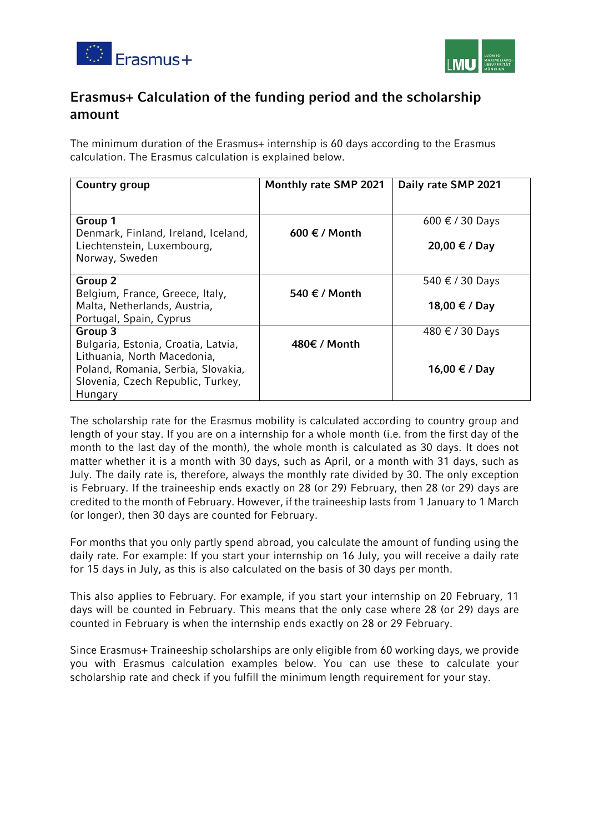



# **Erasmus+ Calculation of the funding period and the scholarship amount**

The minimum duration of the Erasmus+ internship is 60 days according to the Erasmus calculation. The Erasmus calculation is explained below.

| Country group                       | Monthly rate SMP 2021 | Daily rate SMP 2021 |
|-------------------------------------|-----------------------|---------------------|
|                                     |                       |                     |
| Group 1                             |                       | 600 € / 30 Days     |
| Denmark, Finland, Ireland, Iceland, | 600 $\in$ / Month     |                     |
| Liechtenstein, Luxembourg,          |                       | 20,00 € / Day       |
| Norway, Sweden                      |                       |                     |
| Group 2                             |                       | 540 € / 30 Days     |
| Belgium, France, Greece, Italy,     | 540 € / Month         |                     |
| Malta, Netherlands, Austria,        |                       | 18,00 € / Day       |
| Portugal, Spain, Cyprus             |                       |                     |
| Group 3                             |                       | 480 € / 30 Days     |
| Bulgaria, Estonia, Croatia, Latvia, | 480€ / Month          |                     |
| Lithuania, North Macedonia,         |                       |                     |
| Poland, Romania, Serbia, Slovakia,  |                       | 16,00 € / Day       |
| Slovenia, Czech Republic, Turkey,   |                       |                     |
| Hungary                             |                       |                     |

The scholarship rate for the Erasmus mobility is calculated according to country group and length of your stay. If you are on a internship for a whole month (i.e. from the first day of the month to the last day of the month), the whole month is calculated as 30 days. It does not matter whether it is a month with 30 days, such as April, or a month with 31 days, such as July. The daily rate is, therefore, always the monthly rate divided by 30. The only exception is February. If the traineeship ends exactly on 28 (or 29) February, then 28 (or 29) days are credited to the month of February. However, if the traineeship lasts from 1 January to 1 March (or longer), then 30 days are counted for February.

For months that you only partly spend abroad, you calculate the amount of funding using the daily rate. For example: If you start your internship on 16 July, you will receive a daily rate for 15 days in July, as this is also calculated on the basis of 30 days per month.

This also applies to February. For example, if you start your internship on 20 February, 11 days will be counted in February. This means that the only case where 28 (or 29) days are counted in February is when the internship ends exactly on 28 or 29 February.

Since Erasmus+ Traineeship scholarships are only eligible from 60 working days, we provide you with Erasmus calculation examples below. You can use these to calculate your scholarship rate and check if you fulfill the minimum length requirement for your stay.